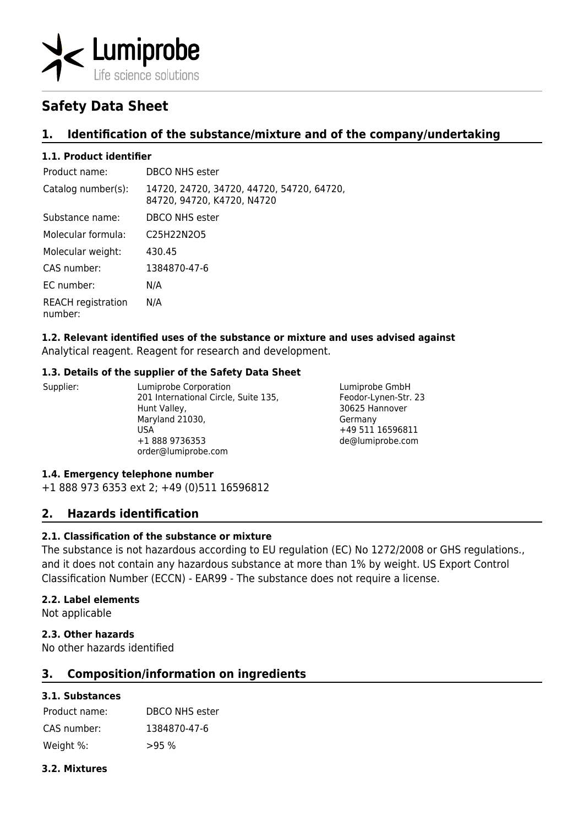

# **Safety Data Sheet**

# **1. Identification of the substance/mixture and of the company/undertaking**

# **1.1. Product identifier**

| Product name:                        | DBCO NHS ester                                                          |
|--------------------------------------|-------------------------------------------------------------------------|
| Catalog number(s):                   | 14720, 24720, 34720, 44720, 54720, 64720,<br>84720, 94720, K4720, N4720 |
| Substance name:                      | DBCO NHS ester                                                          |
| Molecular formula:                   | C <sub>25</sub> H <sub>22</sub> N <sub>2O5</sub>                        |
| Molecular weight:                    | 430.45                                                                  |
| CAS number:                          | 1384870-47-6                                                            |
| EC number:                           | N/A                                                                     |
| <b>REACH</b> registration<br>number: | N/A                                                                     |

# **1.2. Relevant identified uses of the substance or mixture and uses advised against**

Analytical reagent. Reagent for research and development.

# **1.3. Details of the supplier of the Safety Data Sheet**

Supplier: Lumiprobe Corporation 201 International Circle, Suite 135, Hunt Valley, Maryland 21030, USA +1 888 9736353 order@lumiprobe.com

Lumiprobe GmbH Feodor-Lynen-Str. 23 30625 Hannover Germany +49 511 16596811 de@lumiprobe.com

# **1.4. Emergency telephone number**

+1 888 973 6353 ext 2; +49 (0)511 16596812

# **2. Hazards identification**

# **2.1. Classification of the substance or mixture**

The substance is not hazardous according to EU regulation (EC) No 1272/2008 or GHS regulations., and it does not contain any hazardous substance at more than 1% by weight. US Export Control Classification Number (ECCN) - EAR99 - The substance does not require a license.

# **2.2. Label elements**

Not applicable

# **2.3. Other hazards**

No other hazards identified

# **3. Composition/information on ingredients**

# **3.1. Substances**

Product name: DBCO NHS ester CAS number: 1384870-47-6 Weight %: >95 %

# **3.2. Mixtures**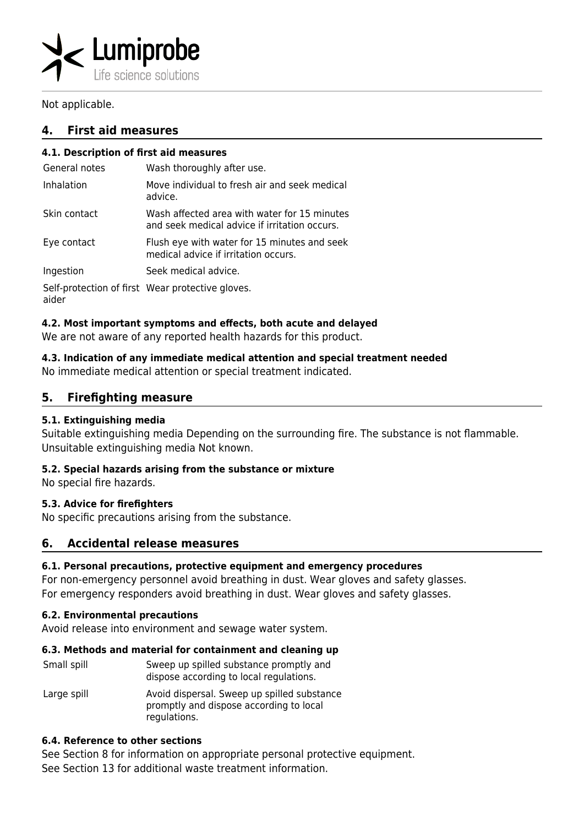

Not applicable.

# **4. First aid measures**

# **4.1. Description of first aid measures**

| General notes | Wash thoroughly after use.                                                                    |
|---------------|-----------------------------------------------------------------------------------------------|
| Inhalation    | Move individual to fresh air and seek medical<br>advice.                                      |
| Skin contact  | Wash affected area with water for 15 minutes<br>and seek medical advice if irritation occurs. |
| Eye contact   | Flush eye with water for 15 minutes and seek<br>medical advice if irritation occurs.          |
| Ingestion     | Seek medical advice.                                                                          |

Self-protection of first Wear protective gloves. aider

# **4.2. Most important symptoms and effects, both acute and delayed**

We are not aware of any reported health hazards for this product.

# **4.3. Indication of any immediate medical attention and special treatment needed**

No immediate medical attention or special treatment indicated.

# **5. Firefighting measure**

# **5.1. Extinguishing media**

Suitable extinguishing media Depending on the surrounding fire. The substance is not flammable. Unsuitable extinguishing media Not known.

# **5.2. Special hazards arising from the substance or mixture**

No special fire hazards.

# **5.3. Advice for firefighters**

No specific precautions arising from the substance.

# **6. Accidental release measures**

# **6.1. Personal precautions, protective equipment and emergency procedures**

For non-emergency personnel avoid breathing in dust. Wear gloves and safety glasses. For emergency responders avoid breathing in dust. Wear gloves and safety glasses.

# **6.2. Environmental precautions**

Avoid release into environment and sewage water system.

# **6.3. Methods and material for containment and cleaning up**

| Small spill | Sweep up spilled substance promptly and<br>dispose according to local regulations.                     |
|-------------|--------------------------------------------------------------------------------------------------------|
| Large spill | Avoid dispersal. Sweep up spilled substance<br>promptly and dispose according to local<br>regulations. |

# **6.4. Reference to other sections**

See Section 8 for information on appropriate personal protective equipment. See Section 13 for additional waste treatment information.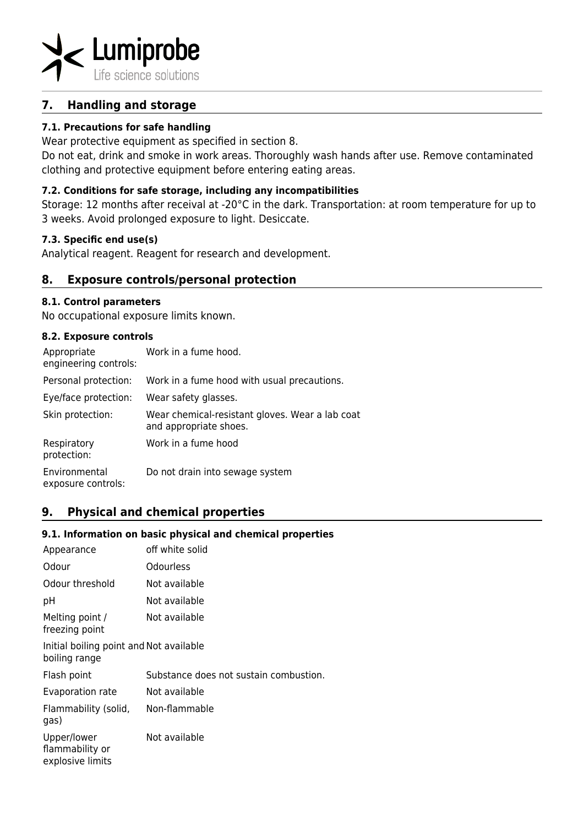

# **7. Handling and storage**

# **7.1. Precautions for safe handling**

Wear protective equipment as specified in section 8.

Do not eat, drink and smoke in work areas. Thoroughly wash hands after use. Remove contaminated clothing and protective equipment before entering eating areas.

# **7.2. Conditions for safe storage, including any incompatibilities**

Storage: 12 months after receival at -20°C in the dark. Transportation: at room temperature for up to 3 weeks. Avoid prolonged exposure to light. Desiccate.

# **7.3. Specific end use(s)**

Analytical reagent. Reagent for research and development.

# **8. Exposure controls/personal protection**

#### **8.1. Control parameters**

No occupational exposure limits known.

#### **8.2. Exposure controls**

| Appropriate<br>engineering controls: | Work in a fume hood.                                                      |
|--------------------------------------|---------------------------------------------------------------------------|
| Personal protection:                 | Work in a fume hood with usual precautions.                               |
| Eye/face protection:                 | Wear safety glasses.                                                      |
| Skin protection:                     | Wear chemical-resistant gloves. Wear a lab coat<br>and appropriate shoes. |
| Respiratory<br>protection:           | Work in a fume hood                                                       |
| Environmental<br>exposure controls:  | Do not drain into sewage system                                           |

# **9. Physical and chemical properties**

# **9.1. Information on basic physical and chemical properties**

| Appearance                                               | off white solid                        |  |
|----------------------------------------------------------|----------------------------------------|--|
| Odour                                                    | Odourless                              |  |
| Odour threshold                                          | Not available                          |  |
| рH                                                       | Not available                          |  |
| Melting point /<br>freezing point                        | Not available                          |  |
| Initial boiling point and Not available<br>boiling range |                                        |  |
| Flash point                                              | Substance does not sustain combustion. |  |
| Evaporation rate                                         | Not available                          |  |
| Flammability (solid,<br>gas)                             | Non-flammable                          |  |
| Upper/lower<br>flammability or<br>explosive limits       | Not available                          |  |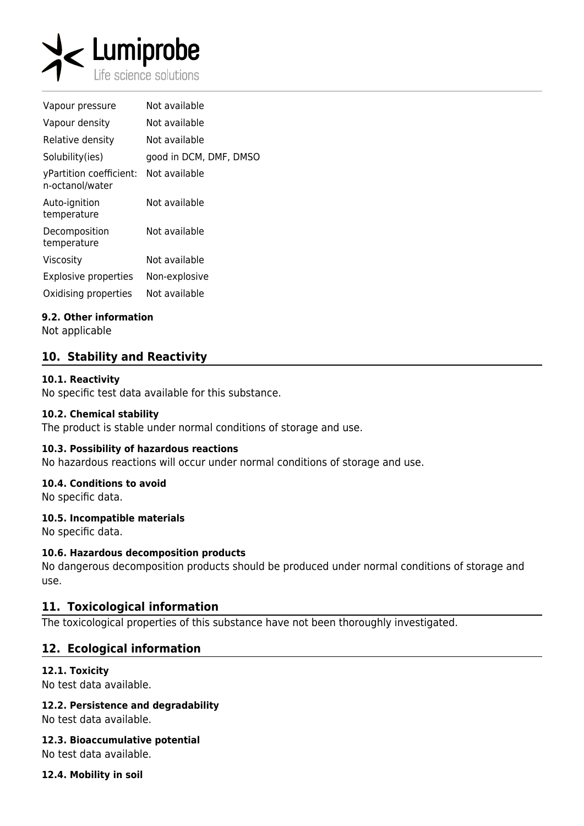

| Vapour pressure                            | Not available          |
|--------------------------------------------|------------------------|
| Vapour density                             | Not available          |
| Relative density                           | Not available          |
| Solubility(ies)                            | good in DCM, DMF, DMSO |
| yPartition coefficient:<br>n-octanol/water | Not available          |
| Auto-ignition<br>temperature               | Not available          |
| Decomposition<br>temperature               | Not available          |
| Viscosity                                  | Not available          |
| <b>Explosive properties</b>                | Non-explosive          |
| Oxidising properties                       | Not available          |

# **9.2. Other information**

Not applicable

# **10. Stability and Reactivity**

#### **10.1. Reactivity**

No specific test data available for this substance.

#### **10.2. Chemical stability**

The product is stable under normal conditions of storage and use.

#### **10.3. Possibility of hazardous reactions**

No hazardous reactions will occur under normal conditions of storage and use.

# **10.4. Conditions to avoid**

No specific data.

# **10.5. Incompatible materials**

No specific data.

# **10.6. Hazardous decomposition products**

No dangerous decomposition products should be produced under normal conditions of storage and use.

# **11. Toxicological information**

The toxicological properties of this substance have not been thoroughly investigated.

# **12. Ecological information**

#### **12.1. Toxicity**

No test data available.

# **12.2. Persistence and degradability**

No test data available.

#### **12.3. Bioaccumulative potential**

No test data available.

**12.4. Mobility in soil**